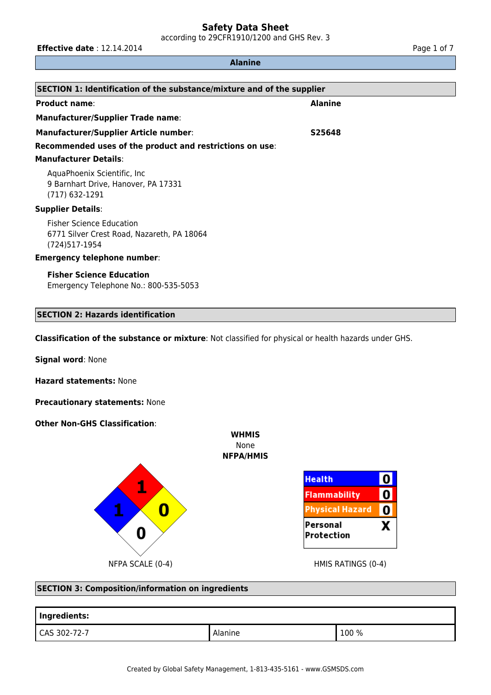according to 29CFR1910/1200 and GHS Rev. 3

**Effective date** : 12.14.2014 **Page 1 of 7** Page 1 of 7

# **Alanine**

| SECTION 1: Identification of the substance/mixture and of the supplier                          |                |  |  |
|-------------------------------------------------------------------------------------------------|----------------|--|--|
| <b>Product name:</b>                                                                            | <b>Alanine</b> |  |  |
| <b>Manufacturer/Supplier Trade name:</b>                                                        |                |  |  |
| Manufacturer/Supplier Article number:                                                           | S25648         |  |  |
| Recommended uses of the product and restrictions on use:                                        |                |  |  |
| <b>Manufacturer Details:</b>                                                                    |                |  |  |
| AquaPhoenix Scientific, Inc.<br>9 Barnhart Drive, Hanover, PA 17331<br>(717) 632-1291           |                |  |  |
| <b>Supplier Details:</b>                                                                        |                |  |  |
| <b>Fisher Science Education</b><br>6771 Silver Crest Road, Nazareth, PA 18064<br>(724) 517-1954 |                |  |  |
| <b>Emergency telephone number:</b>                                                              |                |  |  |
| <b>Fisher Science Education</b><br>Emergency Telephone No.: 800-535-5053                        |                |  |  |

# **SECTION 2: Hazards identification**

**Classification of the substance or mixture**: Not classified for physical or health hazards under GHS.

**Signal word**: None

**Hazard statements:** None

**Precautionary statements:** None

**Other Non-GHS Classification**:





#### **SECTION 3: Composition/information on ingredients**

| Ingredients: |         |       |  |  |
|--------------|---------|-------|--|--|
| CAS 302-72-7 | Alanine | 100 % |  |  |

**WHMIS** None **NFPA/HMIS**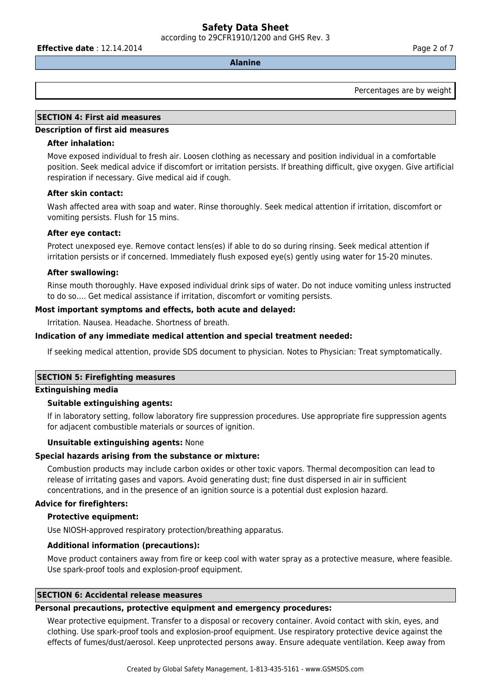according to 29CFR1910/1200 and GHS Rev. 3

**Effective date** : 12.14.2014 **Page 2 of 7 Page 2 of 7** 

# **Alanine**

Percentages are by weight

# **SECTION 4: First aid measures**

#### **Description of first aid measures**

#### **After inhalation:**

Move exposed individual to fresh air. Loosen clothing as necessary and position individual in a comfortable position. Seek medical advice if discomfort or irritation persists. If breathing difficult, give oxygen. Give artificial respiration if necessary. Give medical aid if cough.

#### **After skin contact:**

Wash affected area with soap and water. Rinse thoroughly. Seek medical attention if irritation, discomfort or vomiting persists. Flush for 15 mins.

#### **After eye contact:**

Protect unexposed eye. Remove contact lens(es) if able to do so during rinsing. Seek medical attention if irritation persists or if concerned. Immediately flush exposed eye(s) gently using water for 15-20 minutes.

#### **After swallowing:**

Rinse mouth thoroughly. Have exposed individual drink sips of water. Do not induce vomiting unless instructed to do so…. Get medical assistance if irritation, discomfort or vomiting persists.

#### **Most important symptoms and effects, both acute and delayed:**

Irritation. Nausea. Headache. Shortness of breath.

#### **Indication of any immediate medical attention and special treatment needed:**

If seeking medical attention, provide SDS document to physician. Notes to Physician: Treat symptomatically.

#### **SECTION 5: Firefighting measures**

#### **Extinguishing media**

### **Suitable extinguishing agents:**

If in laboratory setting, follow laboratory fire suppression procedures. Use appropriate fire suppression agents for adjacent combustible materials or sources of ignition.

#### **Unsuitable extinguishing agents:** None

#### **Special hazards arising from the substance or mixture:**

Combustion products may include carbon oxides or other toxic vapors. Thermal decomposition can lead to release of irritating gases and vapors. Avoid generating dust; fine dust dispersed in air in sufficient concentrations, and in the presence of an ignition source is a potential dust explosion hazard.

#### **Advice for firefighters:**

#### **Protective equipment:**

Use NIOSH-approved respiratory protection/breathing apparatus.

#### **Additional information (precautions):**

Move product containers away from fire or keep cool with water spray as a protective measure, where feasible. Use spark-proof tools and explosion-proof equipment.

#### **SECTION 6: Accidental release measures**

#### **Personal precautions, protective equipment and emergency procedures:**

Wear protective equipment. Transfer to a disposal or recovery container. Avoid contact with skin, eyes, and clothing. Use spark-proof tools and explosion-proof equipment. Use respiratory protective device against the effects of fumes/dust/aerosol. Keep unprotected persons away. Ensure adequate ventilation. Keep away from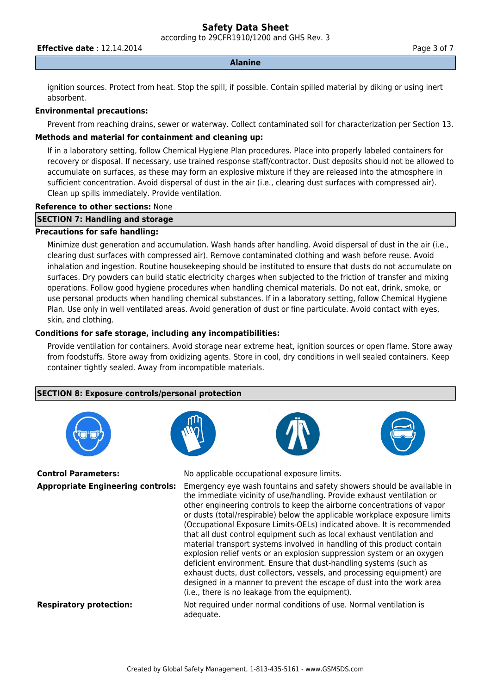according to 29CFR1910/1200 and GHS Rev. 3

**Effective date** : 12.14.2014 **Page 3 of 7 Page 3 of 7** 

#### **Alanine**

ignition sources. Protect from heat. Stop the spill, if possible. Contain spilled material by diking or using inert absorbent.

### **Environmental precautions:**

Prevent from reaching drains, sewer or waterway. Collect contaminated soil for characterization per Section 13.

# **Methods and material for containment and cleaning up:**

If in a laboratory setting, follow Chemical Hygiene Plan procedures. Place into properly labeled containers for recovery or disposal. If necessary, use trained response staff/contractor. Dust deposits should not be allowed to accumulate on surfaces, as these may form an explosive mixture if they are released into the atmosphere in sufficient concentration. Avoid dispersal of dust in the air (i.e., clearing dust surfaces with compressed air). Clean up spills immediately. Provide ventilation.

#### **Reference to other sections:** None

# **SECTION 7: Handling and storage**

# **Precautions for safe handling:**

Minimize dust generation and accumulation. Wash hands after handling. Avoid dispersal of dust in the air (i.e., clearing dust surfaces with compressed air). Remove contaminated clothing and wash before reuse. Avoid inhalation and ingestion. Routine housekeeping should be instituted to ensure that dusts do not accumulate on surfaces. Dry powders can build static electricity charges when subjected to the friction of transfer and mixing operations. Follow good hygiene procedures when handling chemical materials. Do not eat, drink, smoke, or use personal products when handling chemical substances. If in a laboratory setting, follow Chemical Hygiene Plan. Use only in well ventilated areas. Avoid generation of dust or fine particulate. Avoid contact with eyes, skin, and clothing.

# **Conditions for safe storage, including any incompatibilities:**

Provide ventilation for containers. Avoid storage near extreme heat, ignition sources or open flame. Store away from foodstuffs. Store away from oxidizing agents. Store in cool, dry conditions in well sealed containers. Keep container tightly sealed. Away from incompatible materials.

# **SECTION 8: Exposure controls/personal protection**





**Control Parameters:** No applicable occupational exposure limits.

**Appropriate Engineering controls:** Emergency eye wash fountains and safety showers should be available in the immediate vicinity of use/handling. Provide exhaust ventilation or other engineering controls to keep the airborne concentrations of vapor or dusts (total/respirable) below the applicable workplace exposure limits (Occupational Exposure Limits-OELs) indicated above. It is recommended that all dust control equipment such as local exhaust ventilation and material transport systems involved in handling of this product contain explosion relief vents or an explosion suppression system or an oxygen deficient environment. Ensure that dust-handling systems (such as exhaust ducts, dust collectors, vessels, and processing equipment) are designed in a manner to prevent the escape of dust into the work area (i.e., there is no leakage from the equipment).

**Respiratory protection:** Not required under normal conditions of use. Normal ventilation is adequate.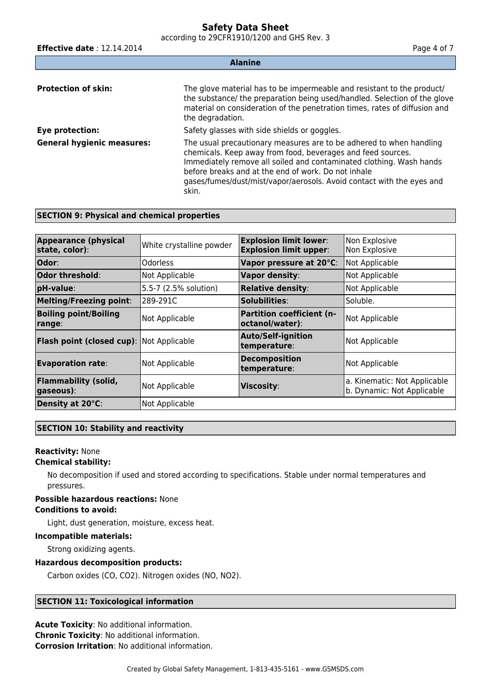according to 29CFR1910/1200 and GHS Rev. 3

**Effective date** : 12.14.2014 **Page 4 of 7 Page 4 of 7 Alanine Protection of skin:** The glove material has to be impermeable and resistant to the product/ the substance/ the preparation being used/handled. Selection of the glove material on consideration of the penetration times, rates of diffusion and the degradation. **Eye protection:** Safety glasses with side shields or goggles. **General hygienic measures:** The usual precautionary measures are to be adhered to when handling chemicals. Keep away from food, beverages and feed sources. Immediately remove all soiled and contaminated clothing. Wash hands before breaks and at the end of work. Do not inhale gases/fumes/dust/mist/vapor/aerosols. Avoid contact with the eyes and skin.

# **SECTION 9: Physical and chemical properties**

| <b>Appearance (physical</b><br>state, color):   | White crystalline powder | <b>Explosion limit lower:</b>                       | Non Explosive                                              |
|-------------------------------------------------|--------------------------|-----------------------------------------------------|------------------------------------------------------------|
|                                                 |                          | <b>Explosion limit upper:</b>                       | Non Explosive                                              |
| <b>Odor:</b>                                    | Odorless                 | Vapor pressure at 20°C:                             | Not Applicable                                             |
| Odor threshold:                                 | Not Applicable           | <b>Vapor density:</b>                               | Not Applicable                                             |
| pH-value:                                       | 5.5-7 (2.5% solution)    | <b>Relative density:</b>                            | Not Applicable                                             |
| <b>Melting/Freezing point:</b>                  | 289-291C                 | Solubilities:                                       | Soluble.                                                   |
| <b>Boiling point/Boiling</b><br>range:          | Not Applicable           | <b>Partition coefficient (n-</b><br>octanol/water): | Not Applicable                                             |
| <b>Flash point (closed cup):</b> Not Applicable |                          | <b>Auto/Self-ignition</b><br>temperature:           | Not Applicable                                             |
| <b>Evaporation rate:</b>                        | Not Applicable           | <b>Decomposition</b><br>temperature:                | Not Applicable                                             |
| <b>Flammability (solid,</b><br>$ $ gaseous):    | Not Applicable           | <b>Viscosity:</b>                                   | a. Kinematic: Not Applicable<br>b. Dynamic: Not Applicable |
| Density at 20°C:                                | Not Applicable           |                                                     |                                                            |

#### **SECTION 10: Stability and reactivity**

# **Reactivity:** None

#### **Chemical stability:**

No decomposition if used and stored according to specifications. Stable under normal temperatures and pressures.

#### **Possible hazardous reactions:** None **Conditions to avoid:**

Light, dust generation, moisture, excess heat.

### **Incompatible materials:**

Strong oxidizing agents.

#### **Hazardous decomposition products:**

Carbon oxides (CO, CO2). Nitrogen oxides (NO, NO2).

#### **SECTION 11: Toxicological information**

**Acute Toxicity**: No additional information. **Chronic Toxicity**: No additional information. **Corrosion Irritation**: No additional information.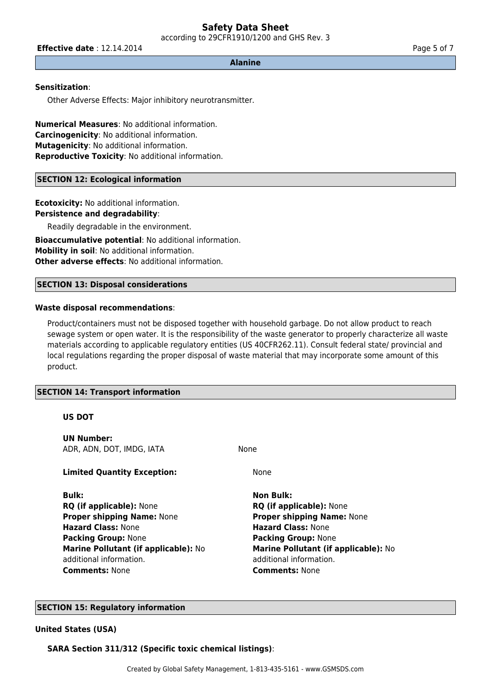according to 29CFR1910/1200 and GHS Rev. 3

**Effective date** : 12.14.2014 **Page 5 of 7 Page 5 of 7** 

**Alanine**

#### **Sensitization**:

Other Adverse Effects: Major inhibitory neurotransmitter.

**Numerical Measures**: No additional information. **Carcinogenicity**: No additional information. **Mutagenicity**: No additional information. **Reproductive Toxicity**: No additional information.

#### **SECTION 12: Ecological information**

**Ecotoxicity:** No additional information. **Persistence and degradability**: Readily degradable in the environment.

**Bioaccumulative potential**: No additional information. **Mobility in soil**: No additional information. **Other adverse effects**: No additional information.

#### **SECTION 13: Disposal considerations**

#### **Waste disposal recommendations**:

Product/containers must not be disposed together with household garbage. Do not allow product to reach sewage system or open water. It is the responsibility of the waste generator to properly characterize all waste materials according to applicable regulatory entities (US 40CFR262.11). Consult federal state/ provincial and local regulations regarding the proper disposal of waste material that may incorporate some amount of this product.

#### **SECTION 14: Transport information**

#### **US DOT**

**UN Number:** ADR, ADN, DOT, IMDG, IATA NONE

**Limited Quantity Exception:** None

**Bulk: Non Bulk: RQ (if applicable):** None **RQ (if applicable):** None **Proper shipping Name:** None **Proper shipping Name:** None **Hazard Class:** None **Hazard Class:** None **Packing Group:** None **Packing Group:** None **Marine Pollutant (if applicable):** No additional information. **Comments:** None **Comments:** None

**Marine Pollutant (if applicable):** No additional information.

## **SECTION 15: Regulatory information**

# **United States (USA)**

**SARA Section 311/312 (Specific toxic chemical listings)**: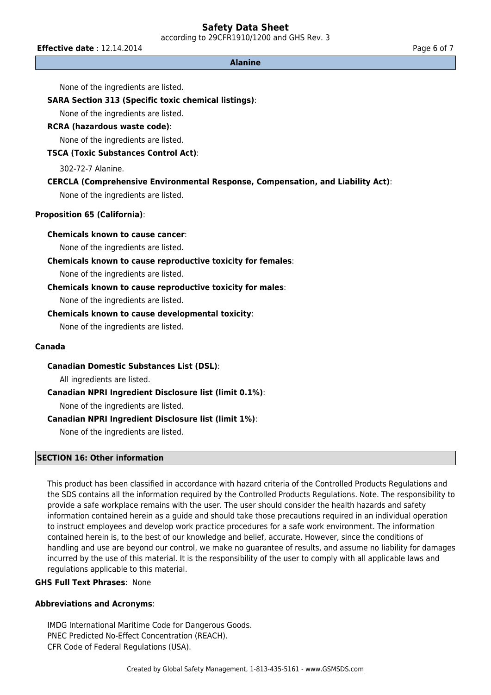according to 29CFR1910/1200 and GHS Rev. 3

**Effective date** : 12.14.2014 **Page 6 of 7 Page 6 of 7** 

#### **Alanine**

None of the ingredients are listed.

#### **SARA Section 313 (Specific toxic chemical listings)**:

None of the ingredients are listed.

#### **RCRA (hazardous waste code)**:

None of the ingredients are listed.

# **TSCA (Toxic Substances Control Act)**:

302-72-7 Alanine.

# **CERCLA (Comprehensive Environmental Response, Compensation, and Liability Act)**:

None of the ingredients are listed.

# **Proposition 65 (California)**:

### **Chemicals known to cause cancer**:

None of the ingredients are listed.

#### **Chemicals known to cause reproductive toxicity for females**:

None of the ingredients are listed.

#### **Chemicals known to cause reproductive toxicity for males**:

None of the ingredients are listed.

### **Chemicals known to cause developmental toxicity**:

None of the ingredients are listed.

### **Canada**

#### **Canadian Domestic Substances List (DSL)**:

All ingredients are listed.

# **Canadian NPRI Ingredient Disclosure list (limit 0.1%)**:

None of the ingredients are listed.

#### **Canadian NPRI Ingredient Disclosure list (limit 1%)**:

None of the ingredients are listed.

# **SECTION 16: Other information**

This product has been classified in accordance with hazard criteria of the Controlled Products Regulations and the SDS contains all the information required by the Controlled Products Regulations. Note. The responsibility to provide a safe workplace remains with the user. The user should consider the health hazards and safety information contained herein as a guide and should take those precautions required in an individual operation to instruct employees and develop work practice procedures for a safe work environment. The information contained herein is, to the best of our knowledge and belief, accurate. However, since the conditions of handling and use are beyond our control, we make no guarantee of results, and assume no liability for damages incurred by the use of this material. It is the responsibility of the user to comply with all applicable laws and regulations applicable to this material.

# **GHS Full Text Phrases**: None

#### **Abbreviations and Acronyms**:

IMDG International Maritime Code for Dangerous Goods. PNEC Predicted No-Effect Concentration (REACH). CFR Code of Federal Regulations (USA).